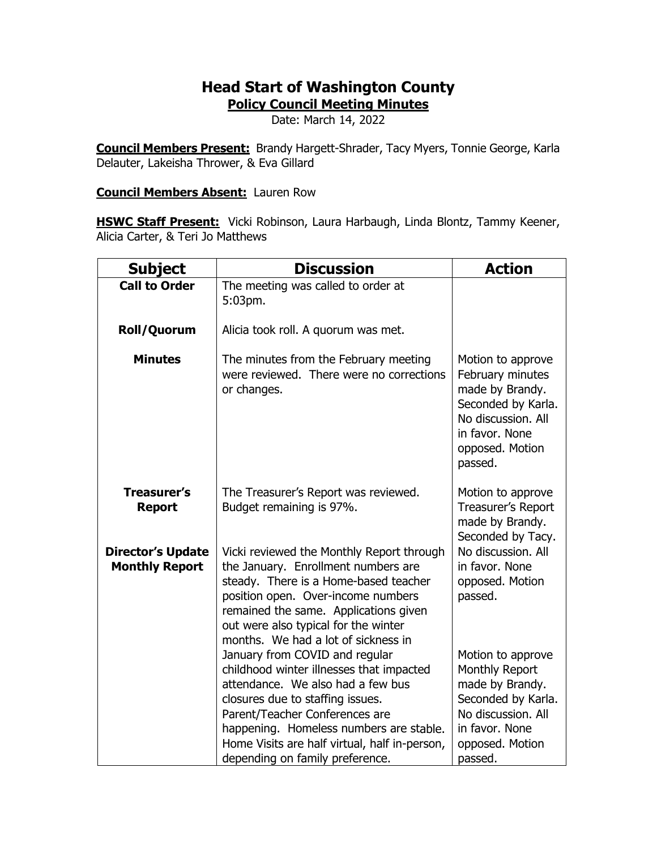## **Head Start of Washington County**

**Policy Council Meeting Minutes**

Date: March 14, 2022

**Council Members Present:** Brandy Hargett-Shrader, Tacy Myers, Tonnie George, Karla Delauter, Lakeisha Thrower, & Eva Gillard

## **Council Members Absent:** Lauren Row

**HSWC Staff Present:** Vicki Robinson, Laura Harbaugh, Linda Blontz, Tammy Keener, Alicia Carter, & Teri Jo Matthews

| <b>Subject</b>                                    | <b>Discussion</b>                                                                                                                                                                                                                                                                                                                                                                                                                                                                                                                                                                                               | <b>Action</b>                                                                                                                                                                                                            |
|---------------------------------------------------|-----------------------------------------------------------------------------------------------------------------------------------------------------------------------------------------------------------------------------------------------------------------------------------------------------------------------------------------------------------------------------------------------------------------------------------------------------------------------------------------------------------------------------------------------------------------------------------------------------------------|--------------------------------------------------------------------------------------------------------------------------------------------------------------------------------------------------------------------------|
| <b>Call to Order</b>                              | The meeting was called to order at<br>5:03pm.                                                                                                                                                                                                                                                                                                                                                                                                                                                                                                                                                                   |                                                                                                                                                                                                                          |
| <b>Roll/Quorum</b>                                | Alicia took roll. A quorum was met.                                                                                                                                                                                                                                                                                                                                                                                                                                                                                                                                                                             |                                                                                                                                                                                                                          |
| <b>Minutes</b>                                    | The minutes from the February meeting<br>were reviewed. There were no corrections<br>or changes.                                                                                                                                                                                                                                                                                                                                                                                                                                                                                                                | Motion to approve<br>February minutes<br>made by Brandy.<br>Seconded by Karla.<br>No discussion. All<br>in favor. None<br>opposed. Motion<br>passed.                                                                     |
| <b>Treasurer's</b><br><b>Report</b>               | The Treasurer's Report was reviewed.<br>Budget remaining is 97%.                                                                                                                                                                                                                                                                                                                                                                                                                                                                                                                                                | Motion to approve<br>Treasurer's Report<br>made by Brandy.<br>Seconded by Tacy.                                                                                                                                          |
| <b>Director's Update</b><br><b>Monthly Report</b> | Vicki reviewed the Monthly Report through<br>the January. Enrollment numbers are<br>steady. There is a Home-based teacher<br>position open. Over-income numbers<br>remained the same. Applications given<br>out were also typical for the winter<br>months. We had a lot of sickness in<br>January from COVID and regular<br>childhood winter illnesses that impacted<br>attendance. We also had a few bus<br>closures due to staffing issues.<br>Parent/Teacher Conferences are<br>happening. Homeless numbers are stable.<br>Home Visits are half virtual, half in-person,<br>depending on family preference. | No discussion. All<br>in favor. None<br>opposed. Motion<br>passed.<br>Motion to approve<br>Monthly Report<br>made by Brandy.<br>Seconded by Karla.<br>No discussion. All<br>in favor. None<br>opposed. Motion<br>passed. |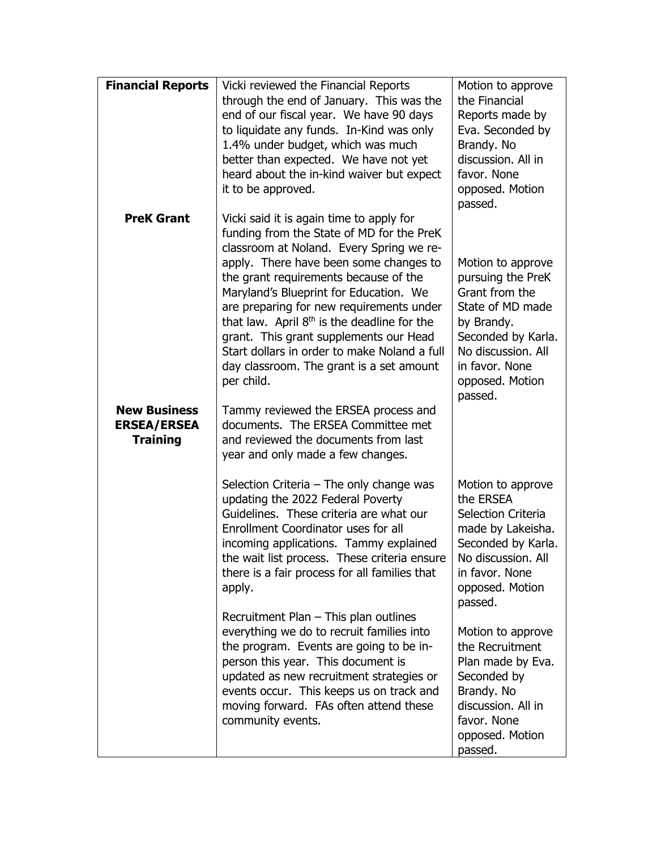| <b>Financial Reports</b> | Vicki reviewed the Financial Reports          | Motion to approve                    |
|--------------------------|-----------------------------------------------|--------------------------------------|
|                          | through the end of January. This was the      | the Financial                        |
|                          | end of our fiscal year. We have 90 days       | Reports made by                      |
|                          | to liquidate any funds. In-Kind was only      | Eva. Seconded by                     |
|                          | 1.4% under budget, which was much             | Brandy. No                           |
|                          | better than expected. We have not yet         | discussion. All in                   |
|                          | heard about the in-kind waiver but expect     | favor. None                          |
|                          | it to be approved.                            | opposed. Motion                      |
|                          |                                               | passed.                              |
| <b>PreK Grant</b>        | Vicki said it is again time to apply for      |                                      |
|                          | funding from the State of MD for the PreK     |                                      |
|                          | classroom at Noland. Every Spring we re-      |                                      |
|                          | apply. There have been some changes to        | Motion to approve                    |
|                          | the grant requirements because of the         | pursuing the PreK                    |
|                          | Maryland's Blueprint for Education. We        | Grant from the                       |
|                          | are preparing for new requirements under      | State of MD made                     |
|                          | that law. April $8th$ is the deadline for the |                                      |
|                          | grant. This grant supplements our Head        | by Brandy.<br>Seconded by Karla.     |
|                          | Start dollars in order to make Noland a full  | No discussion. All                   |
|                          |                                               | in favor. None                       |
|                          | day classroom. The grant is a set amount      |                                      |
|                          | per child.                                    | opposed. Motion                      |
|                          |                                               | passed.                              |
| <b>New Business</b>      | Tammy reviewed the ERSEA process and          |                                      |
| <b>ERSEA/ERSEA</b>       | documents. The ERSEA Committee met            |                                      |
| <b>Training</b>          | and reviewed the documents from last          |                                      |
|                          | year and only made a few changes.             |                                      |
|                          | Selection Criteria $-$ The only change was    | Motion to approve                    |
|                          | updating the 2022 Federal Poverty             | the ERSEA                            |
|                          | Guidelines. These criteria are what our       | Selection Criteria                   |
|                          | Enrollment Coordinator uses for all           | made by Lakeisha.                    |
|                          | incoming applications. Tammy explained        | Seconded by Karla.                   |
|                          | the wait list process. These criteria ensure  | No discussion. All                   |
|                          |                                               | in favor. None                       |
|                          | there is a fair process for all families that |                                      |
|                          | apply.                                        | opposed. Motion                      |
|                          |                                               | passed.                              |
|                          | Recruitment Plan - This plan outlines         |                                      |
|                          | everything we do to recruit families into     | Motion to approve<br>the Recruitment |
|                          | the program. Events are going to be in-       |                                      |
|                          | person this year. This document is            | Plan made by Eva.                    |
|                          | updated as new recruitment strategies or      | Seconded by                          |
|                          | events occur. This keeps us on track and      | Brandy. No                           |
|                          | moving forward. FAs often attend these        | discussion. All in                   |
|                          | community events.                             | favor. None                          |
|                          |                                               | opposed. Motion                      |
|                          |                                               | passed.                              |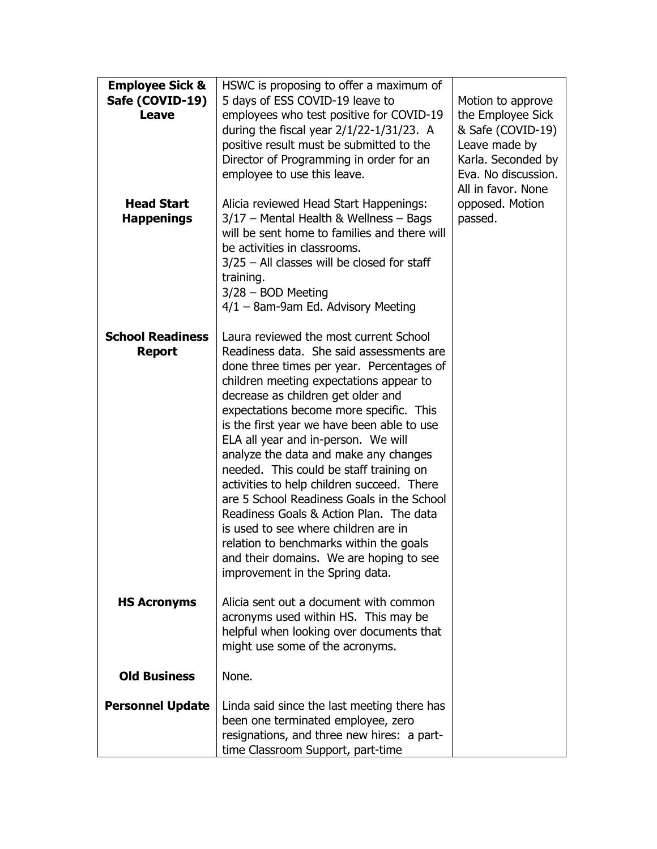| <b>Employee Sick &amp;</b><br>Safe (COVID-19)<br>Leave<br><b>Head Start</b><br><b>Happenings</b> | HSWC is proposing to offer a maximum of<br>5 days of ESS COVID-19 leave to<br>employees who test positive for COVID-19<br>during the fiscal year 2/1/22-1/31/23. A<br>positive result must be submitted to the<br>Director of Programming in order for an<br>employee to use this leave.<br>Alicia reviewed Head Start Happenings:<br>3/17 - Mental Health & Wellness - Bags                                                                                                                                                                                                                                                                                                                                                                 | Motion to approve<br>the Employee Sick<br>& Safe (COVID-19)<br>Leave made by<br>Karla. Seconded by<br>Eva. No discussion.<br>All in favor. None<br>opposed. Motion<br>passed. |
|--------------------------------------------------------------------------------------------------|----------------------------------------------------------------------------------------------------------------------------------------------------------------------------------------------------------------------------------------------------------------------------------------------------------------------------------------------------------------------------------------------------------------------------------------------------------------------------------------------------------------------------------------------------------------------------------------------------------------------------------------------------------------------------------------------------------------------------------------------|-------------------------------------------------------------------------------------------------------------------------------------------------------------------------------|
|                                                                                                  | will be sent home to families and there will<br>be activities in classrooms.<br>$3/25$ – All classes will be closed for staff<br>training.<br>$3/28 - BOD$ Meeting<br>$4/1 - 8$ am-9am Ed. Advisory Meeting                                                                                                                                                                                                                                                                                                                                                                                                                                                                                                                                  |                                                                                                                                                                               |
| <b>School Readiness</b><br><b>Report</b>                                                         | Laura reviewed the most current School<br>Readiness data. She said assessments are<br>done three times per year. Percentages of<br>children meeting expectations appear to<br>decrease as children get older and<br>expectations become more specific. This<br>is the first year we have been able to use<br>ELA all year and in-person. We will<br>analyze the data and make any changes<br>needed. This could be staff training on<br>activities to help children succeed. There<br>are 5 School Readiness Goals in the School<br>Readiness Goals & Action Plan. The data<br>is used to see where children are in<br>relation to benchmarks within the goals<br>and their domains. We are hoping to see<br>improvement in the Spring data. |                                                                                                                                                                               |
| <b>HS Acronyms</b>                                                                               | Alicia sent out a document with common<br>acronyms used within HS. This may be<br>helpful when looking over documents that<br>might use some of the acronyms.                                                                                                                                                                                                                                                                                                                                                                                                                                                                                                                                                                                |                                                                                                                                                                               |
| <b>Old Business</b>                                                                              | None.                                                                                                                                                                                                                                                                                                                                                                                                                                                                                                                                                                                                                                                                                                                                        |                                                                                                                                                                               |
| <b>Personnel Update</b>                                                                          | Linda said since the last meeting there has<br>been one terminated employee, zero<br>resignations, and three new hires: a part-<br>time Classroom Support, part-time                                                                                                                                                                                                                                                                                                                                                                                                                                                                                                                                                                         |                                                                                                                                                                               |